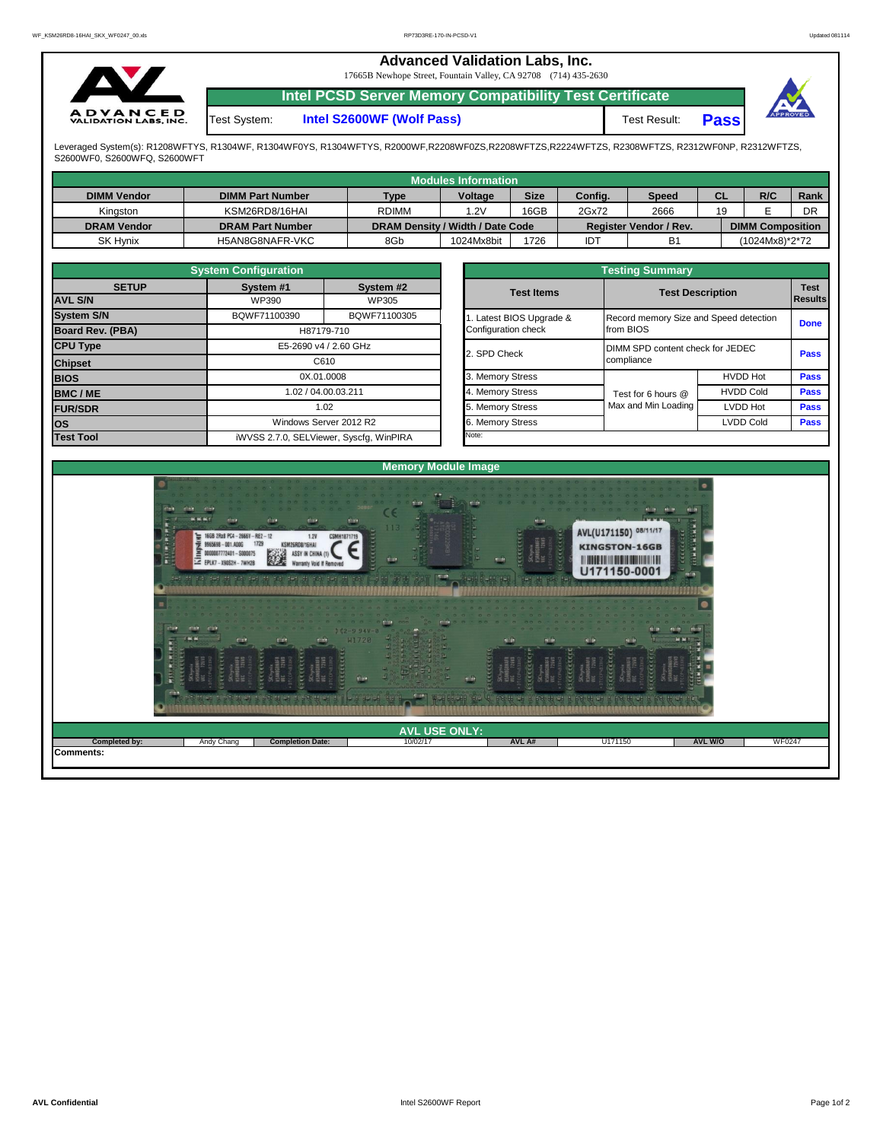## **Advanced Validation Labs, Inc.**  17665B Newhope Street, Fountain Valley, CA 92708 (714) 435-2630 **Intel PCSD Server Memory Compatibility Test Certificate A D V A N C E D**<br>VALIDATION LABS, INC. Test System: **Intel S2600WF (Wolf Pass)** Test Result: **Pass**

Leveraged System(s): R1208WFTYS, R1304WF, R1304WF0YS, R1304WFTYS, R2000WF,R2208WF0ZS,R2208WFTZS,R2224WFTZS, R2308WFTZS, R2312WF0NP, R2312WFTZS, S2600WF0, S2600WFQ, S2600WFT

|                    |                         |                                  | Modules Information |             |         |                        |           |                         |      |
|--------------------|-------------------------|----------------------------------|---------------------|-------------|---------|------------------------|-----------|-------------------------|------|
| <b>DIMM Vendor</b> | <b>DIMM Part Number</b> | Type                             | Voltage             | <b>Size</b> | Config. | <b>Speed</b>           | <b>CL</b> | R/C                     | Rank |
| Kingston           | KSM26RD8/16HAI          | <b>RDIMM</b>                     | 1.2V                | 16GB        | 2Gx72   | 2666                   | 19        |                         | DR   |
| <b>DRAM Vendor</b> | <b>DRAM Part Number</b> | DRAM Density / Width / Date Code |                     |             |         | Register Vendor / Rev. |           | <b>DIMM Composition</b> |      |
| <b>SK Hynix</b>    | H5AN8G8NAFR-VKC         | 8Gb                              | 1024Mx8bit          | 1726        | IDT     | B1                     |           | (1024Mx8)*2*72          |      |

|                                | <b>System Configuration</b>              |                                         |       | <b>Testing Summary</b> |                                        |                               |             |  |  |  |  |  |  |
|--------------------------------|------------------------------------------|-----------------------------------------|-------|------------------------|----------------------------------------|-------------------------------|-------------|--|--|--|--|--|--|
| <b>SETUP</b><br><b>AVL S/N</b> | System #1<br>System #2<br>WP390<br>WP305 |                                         |       | <b>Test Items</b>      | <b>Test Description</b>                | <b>Test</b><br><b>Results</b> |             |  |  |  |  |  |  |
| <b>System S/N</b>              | BQWF71100390                             | BQWF71100305                            |       | Latest BIOS Upgrade &  | Record memory Size and Speed detection | <b>Done</b>                   |             |  |  |  |  |  |  |
| Board Rev. (PBA)               |                                          | H87179-710                              |       | Configuration check    | from BIOS                              |                               |             |  |  |  |  |  |  |
| <b>CPU Type</b>                | E5-2690 v4 / 2.60 GHz<br>C610            |                                         |       | 2. SPD Check           | DIMM SPD content check for JEDEC       | <b>Pass</b>                   |             |  |  |  |  |  |  |
| <b>Chipset</b>                 |                                          |                                         |       |                        | compliance                             |                               |             |  |  |  |  |  |  |
| <b>BIOS</b>                    |                                          | 0X.01.0008                              |       | 3. Memory Stress       |                                        | <b>HVDD Hot</b>               | <b>Pass</b> |  |  |  |  |  |  |
| <b>BMC/ME</b>                  |                                          | 1.02 / 04.00.03.211                     |       | 4. Memory Stress       | Test for 6 hours @                     | <b>HVDD Cold</b>              | <b>Pass</b> |  |  |  |  |  |  |
| <b>FUR/SDR</b>                 |                                          | 1.02                                    |       | 5. Memory Stress       | Max and Min Loading                    | <b>LVDD Hot</b>               | <b>Pass</b> |  |  |  |  |  |  |
| <b>OS</b>                      |                                          | Windows Server 2012 R2                  |       | 6. Memory Stress       |                                        | <b>LVDD Cold</b>              | <b>Pass</b> |  |  |  |  |  |  |
| <b>Test Tool</b>               |                                          | iWVSS 2.7.0, SELViewer, Syscfq, WinPIRA | Note: |                        |                                        |                               |             |  |  |  |  |  |  |